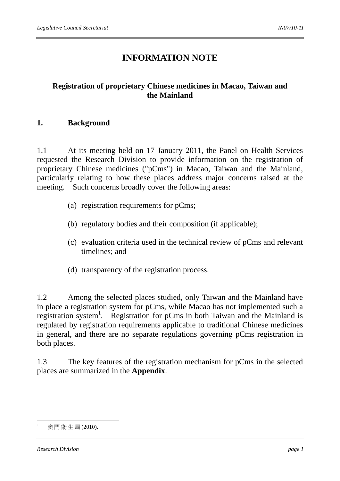# **INFORMATION NOTE**

## **Registration of proprietary Chinese medicines in Macao, Taiwan and the Mainland**

### **1. Background**

1.1 At its meeting held on 17 January 2011, the Panel on Health Services requested the Research Division to provide information on the registration of proprietary Chinese medicines ("pCms") in Macao, Taiwan and the Mainland, particularly relating to how these places address major concerns raised at the meeting. Such concerns broadly cover the following areas:

- (a) registration requirements for pCms;
- (b) regulatory bodies and their composition (if applicable);
- (c) evaluation criteria used in the technical review of pCms and relevant timelines; and
- (d) transparency of the registration process.

1.2 Among the selected places studied, only Taiwan and the Mainland have in place a registration system for pCms, while Macao has not implemented such a registration system<sup>1</sup>. Registration for pCms in both Taiwan and the Mainland is regulated by registration requirements applicable to traditional Chinese medicines in general, and there are no separate regulations governing pCms registration in both places.

1.3 The key features of the registration mechanism for pCms in the selected places are summarized in the **Appendix**.

 $\overline{1}$ 澳門衞生局 (2010).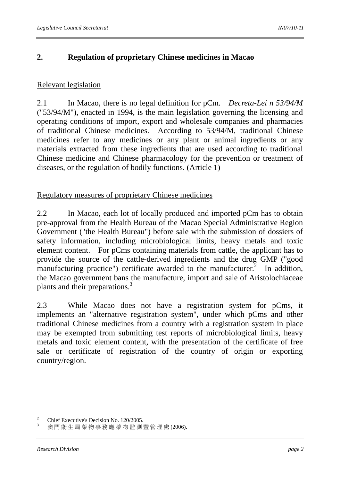### **2. Regulation of proprietary Chinese medicines in Macao**

### Relevant legislation

2.1 In Macao, there is no legal definition for pCm. *Decreta-Lei n 53/94/M* ("53/94/M"), enacted in 1994, is the main legislation governing the licensing and operating conditions of import, export and wholesale companies and pharmacies of traditional Chinese medicines. According to 53/94/M, traditional Chinese medicines refer to any medicines or any plant or animal ingredients or any materials extracted from these ingredients that are used according to traditional Chinese medicine and Chinese pharmacology for the prevention or treatment of diseases, or the regulation of bodily functions. (Article 1)

#### Regulatory measures of proprietary Chinese medicines

2.2 In Macao, each lot of locally produced and imported pCm has to obtain pre-approval from the Health Bureau of the Macao Special Administrative Region Government ("the Health Bureau") before sale with the submission of dossiers of safety information, including microbiological limits, heavy metals and toxic element content. For pCms containing materials from cattle, the applicant has to provide the source of the cattle-derived ingredients and the drug GMP ("good manufacturing practice") certificate awarded to the manufacturer.<sup>2</sup> In addition, the Macao government bans the manufacture, import and sale of Aristolochiaceae plants and their preparations.3

2.3 While Macao does not have a registration system for pCms, it implements an "alternative registration system", under which pCms and other traditional Chinese medicines from a country with a registration system in place may be exempted from submitting test reports of microbiological limits, heavy metals and toxic element content, with the presentation of the certificate of free sale or certificate of registration of the country of origin or exporting country/region.

 $\frac{1}{2}$ Chief Executive's Decision No. 120/2005.

澳門衞生局藥物事務廳藥物監測暨管理處 (2006).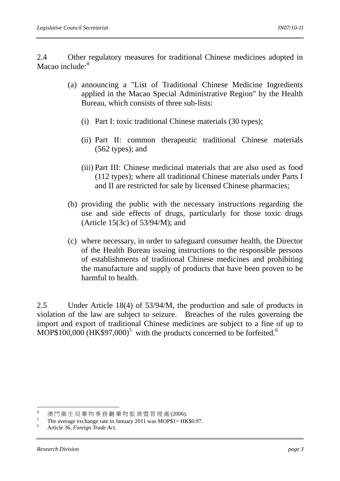2.4 Other regulatory measures for traditional Chinese medicines adopted in Macao include:<sup>4</sup>

- (a) announcing a "List of Traditional Chinese Medicine Ingredients applied in the Macao Special Administrative Region" by the Health Bureau, which consists of three sub-lists:
	- (i) Part I: toxic traditional Chinese materials (30 types);
	- (ii) Part II: common therapeutic traditional Chinese materials (562 types); and
	- (iii) Part III: Chinese medicinal materials that are also used as food (112 types); where all traditional Chinese materials under Parts I and II are restricted for sale by licensed Chinese pharmacies;
- (b) providing the public with the necessary instructions regarding the use and side effects of drugs, particularly for those toxic drugs (Article 15(3c) of 53/94/M); and
- (c) where necessary, in order to safeguard consumer health, the Director of the Health Bureau issuing instructions to the responsible persons of establishments of traditional Chinese medicines and prohibiting the manufacture and supply of products that have been proven to be harmful to health.

2.5 Under Article 18(4) of 53/94/M, the production and sale of products in violation of the law are subject to seizure. Breaches of the rules governing the import and export of traditional Chinese medicines are subject to a fine of up to MOP\$100,000 (HK\$97,000)<sup>5</sup> with the products concerned to be forfeited.<sup>6</sup>

 $\overline{a}$ 

<sup>4</sup> 澳門衞生局藥物事務廳藥物監測暨管理處 (2006).

The average exchange rate in January 2011 was MOP\$1= HK\$0.97.

Article 36, *Foreign Trade Act*.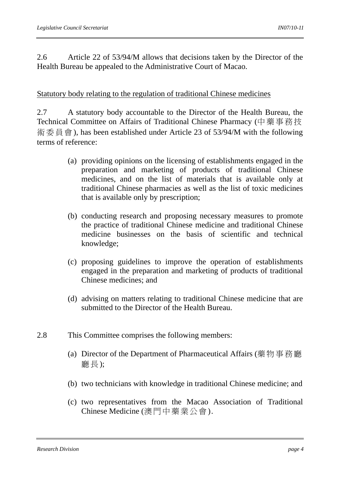2.6 Article 22 of 53/94/M allows that decisions taken by the Director of the Health Bureau be appealed to the Administrative Court of Macao.

### Statutory body relating to the regulation of traditional Chinese medicines

2.7 A statutory body accountable to the Director of the Health Bureau, the Technical Committee on Affairs of Traditional Chinese Pharmacy (中藥事務技 術委員會), has been established under Article 23 of 53/94/M with the following terms of reference:

- (a) providing opinions on the licensing of establishments engaged in the preparation and marketing of products of traditional Chinese medicines, and on the list of materials that is available only at traditional Chinese pharmacies as well as the list of toxic medicines that is available only by prescription;
- (b) conducting research and proposing necessary measures to promote the practice of traditional Chinese medicine and traditional Chinese medicine businesses on the basis of scientific and technical knowledge;
- (c) proposing guidelines to improve the operation of establishments engaged in the preparation and marketing of products of traditional Chinese medicines; and
- (d) advising on matters relating to traditional Chinese medicine that are submitted to the Director of the Health Bureau.
- 2.8 This Committee comprises the following members:
	- (a) Director of the Department of Pharmaceutical Affairs (藥物事務廳 廳長);
	- (b) two technicians with knowledge in traditional Chinese medicine; and
	- (c) two representatives from the Macao Association of Traditional Chinese Medicine (澳門中藥業公會).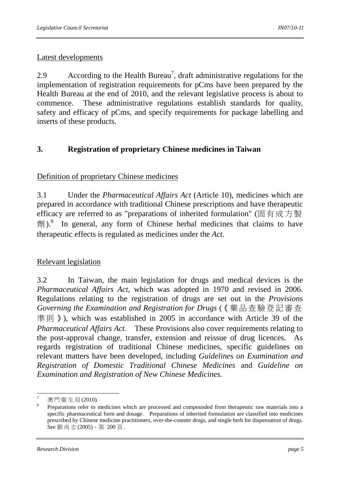## Latest developments

2.9 • According to the Health Bureau<sup>7</sup>, draft administrative regulations for the implementation of registration requirements for pCms have been prepared by the Health Bureau at the end of 2010, and the relevant legislative process is about to commence. These administrative regulations establish standards for quality, safety and efficacy of pCms, and specify requirements for package labelling and inserts of these products.

## **3. Registration of proprietary Chinese medicines in Taiwan**

## Definition of proprietary Chinese medicines

3.1 Under the *Pharmaceutical Affairs Act* (Article 10), medicines which are prepared in accordance with traditional Chinese prescriptions and have therapeutic efficacy are referred to as "preparations of inherited formulation" (固有成方製  $\tilde{m}$ ).<sup>8</sup> In general, any form of Chinese herbal medicines that claims to have therapeutic effects is regulated as medicines under the *Act*.

## Relevant legislation

3.2 In Taiwan, the main legislation for drugs and medical devices is the *Pharmaceutical Affairs Act*, which was adopted in 1970 and revised in 2006. Regulations relating to the registration of drugs are set out in the *Provisions Governing the Examination and Registration for Drugs* (《藥品查驗登記審查 準則》), which was established in 2005 in accordance with Article 39 of the *Pharmaceutical Affairs Act.* These Provisions also cover requirements relating to the post-approval change, transfer, extension and reissue of drug licences. As regards registration of traditional Chinese medicines, specific guidelines on relevant matters have been developed, including *Guidelines on Examination and Registration of Domestic Traditional Chinese Medicines* and *Guideline on Examination and Registration of New Chinese Medicines.* 

 $\overline{a}$  $\frac{7}{8}$  澳門衞生局 (2010).

Preparations refer to medicines which are processed and compounded from therapeutic raw materials into a specific pharmaceutical form and dosage. Preparations of inherited formulation are classified into medicines prescribed by Chinese medicine practitioners, over-the-counter drugs, and single herb for dispensation of drugs. See 劉尚志 (2005), 第 200 頁.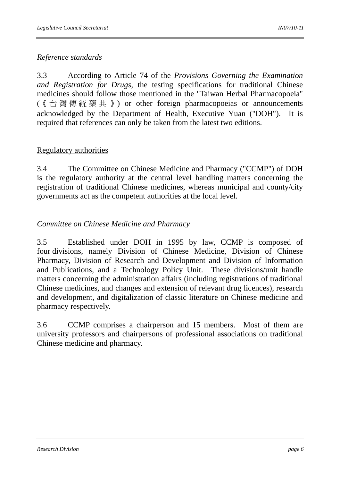## *Reference standards*

3.3 According to Article 74 of the *Provisions Governing the Examination and Registration for Drugs*, the testing specifications for traditional Chinese medicines should follow those mentioned in the "Taiwan Herbal Pharmacopoeia" (《台灣傳統藥典 》) or other foreign pharmacopoeias or announcements acknowledged by the Department of Health, Executive Yuan ("DOH"). It is required that references can only be taken from the latest two editions.

## Regulatory authorities

3.4 The Committee on Chinese Medicine and Pharmacy ("CCMP") of DOH is the regulatory authority at the central level handling matters concerning the registration of traditional Chinese medicines, whereas municipal and county/city governments act as the competent authorities at the local level.

## *Committee on Chinese Medicine and Pharmacy*

3.5 Established under DOH in 1995 by law, CCMP is composed of four divisions, namely Division of Chinese Medicine, Division of Chinese Pharmacy, Division of Research and Development and Division of Information and Publications, and a Technology Policy Unit. These divisions/unit handle matters concerning the administration affairs (including registrations of traditional Chinese medicines, and changes and extension of relevant drug licences), research and development, and digitalization of classic literature on Chinese medicine and pharmacy respectively.

3.6 CCMP comprises a chairperson and 15 members. Most of them are university professors and chairpersons of professional associations on traditional Chinese medicine and pharmacy.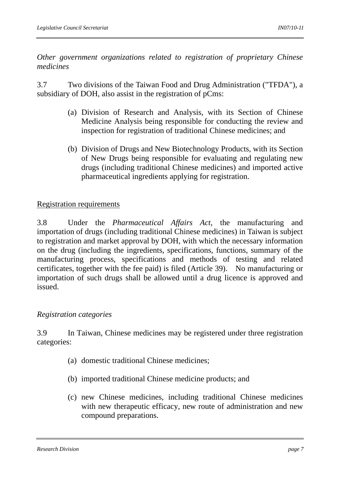*Other government organizations related to registration of proprietary Chinese medicines* 

3.7 Two divisions of the Taiwan Food and Drug Administration ("TFDA"), a subsidiary of DOH, also assist in the registration of pCms:

- (a) Division of Research and Analysis, with its Section of Chinese Medicine Analysis being responsible for conducting the review and inspection for registration of traditional Chinese medicines; and
- (b) Division of Drugs and New Biotechnology Products, with its Section of New Drugs being responsible for evaluating and regulating new drugs (including traditional Chinese medicines) and imported active pharmaceutical ingredients applying for registration.

## Registration requirements

3.8 Under the *Pharmaceutical Affairs Act*, the manufacturing and importation of drugs (including traditional Chinese medicines) in Taiwan is subject to registration and market approval by DOH, with which the necessary information on the drug (including the ingredients, specifications, functions, summary of the manufacturing process, specifications and methods of testing and related certificates, together with the fee paid) is filed (Article 39). No manufacturing or importation of such drugs shall be allowed until a drug licence is approved and issued.

### *Registration categories*

3.9 In Taiwan, Chinese medicines may be registered under three registration categories:

- (a) domestic traditional Chinese medicines;
- (b) imported traditional Chinese medicine products; and
- (c) new Chinese medicines, including traditional Chinese medicines with new therapeutic efficacy, new route of administration and new compound preparations.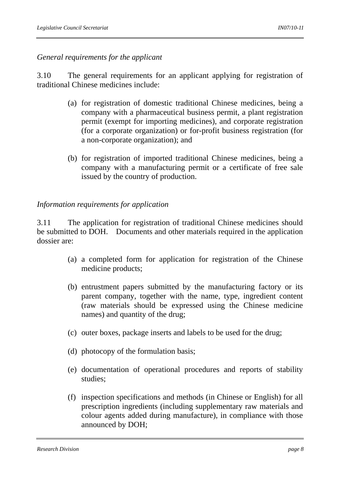*General requirements for the applicant*

3.10 The general requirements for an applicant applying for registration of traditional Chinese medicines include:

- (a) for registration of domestic traditional Chinese medicines, being a company with a pharmaceutical business permit, a plant registration permit (exempt for importing medicines), and corporate registration (for a corporate organization) or for-profit business registration (for a non-corporate organization); and
- (b) for registration of imported traditional Chinese medicines, being a company with a manufacturing permit or a certificate of free sale issued by the country of production.

*Information requirements for application* 

3.11 The application for registration of traditional Chinese medicines should be submitted to DOH. Documents and other materials required in the application dossier are:

- (a) a completed form for application for registration of the Chinese medicine products;
- (b) entrustment papers submitted by the manufacturing factory or its parent company, together with the name, type, ingredient content (raw materials should be expressed using the Chinese medicine names) and quantity of the drug;
- (c) outer boxes, package inserts and labels to be used for the drug;
- (d) photocopy of the formulation basis;
- (e) documentation of operational procedures and reports of stability studies;
- (f) inspection specifications and methods (in Chinese or English) for all prescription ingredients (including supplementary raw materials and colour agents added during manufacture), in compliance with those announced by DOH;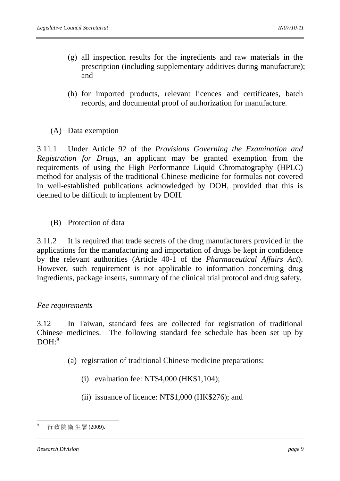- (g) all inspection results for the ingredients and raw materials in the prescription (including supplementary additives during manufacture); and
- (h) for imported products, relevant licences and certificates, batch records, and documental proof of authorization for manufacture.
- (A) Data exemption

3.11.1 Under Article 92 of the *Provisions Governing the Examination and Registration for Drugs*, an applicant may be granted exemption from the requirements of using the High Performance Liquid Chromatography (HPLC) method for analysis of the traditional Chinese medicine for formulas not covered in well-established publications acknowledged by DOH, provided that this is deemed to be difficult to implement by DOH.

(B) Protection of data

3.11.2 It is required that trade secrets of the drug manufacturers provided in the applications for the manufacturing and importation of drugs be kept in confidence by the relevant authorities (Article 40-1 of the *Pharmaceutical Affairs Act*). However, such requirement is not applicable to information concerning drug ingredients, package inserts, summary of the clinical trial protocol and drug safety.

#### *Fee requirements*

3.12 In Taiwan, standard fees are collected for registration of traditional Chinese medicines. The following standard fee schedule has been set up by  $DOH<sup>9</sup>$ 

- (a) registration of traditional Chinese medicine preparations:
	- (i) evaluation fee: NT\$4,000 (HK\$1,104);
	- (ii) issuance of licence: NT\$1,000 (HK\$276); and

<sup>-&</sup>lt;br>9 行政院衞生署 (2009).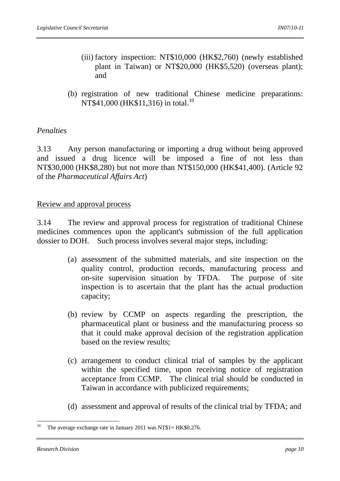- (iii) factory inspection: NT\$10,000 (HK\$2,760) (newly established plant in Taiwan) or NT\$20,000 (HK\$5,520) (overseas plant); and
- (b) registration of new traditional Chinese medicine preparations: NT\$41,000 (HK\$11,316) in total.<sup>10</sup>

#### *Penalties*

3.13 Any person manufacturing or importing a drug without being approved and issued a drug licence will be imposed a fine of not less than NT\$30,000 (HK\$8,280) but not more than NT\$150,000 (HK\$41,400). (Article 92 of the *Pharmaceutical Affairs Act*)

#### Review and approval process

3.14 The review and approval process for registration of traditional Chinese medicines commences upon the applicant's submission of the full application dossier to DOH. Such process involves several major steps, including:

- (a) assessment of the submitted materials, and site inspection on the quality control, production records, manufacturing process and on-site supervision situation by TFDA. The purpose of site inspection is to ascertain that the plant has the actual production capacity;
- (b) review by CCMP on aspects regarding the prescription, the pharmaceutical plant or business and the manufacturing process so that it could make approval decision of the registration application based on the review results;
- (c) arrangement to conduct clinical trial of samples by the applicant within the specified time, upon receiving notice of registration acceptance from CCMP. The clinical trial should be conducted in Taiwan in accordance with publicized requirements;
- (d) assessment and approval of results of the clinical trial by TFDA; and

<sup>10</sup> The average exchange rate in January 2011 was NT\$1= HK\$0.276.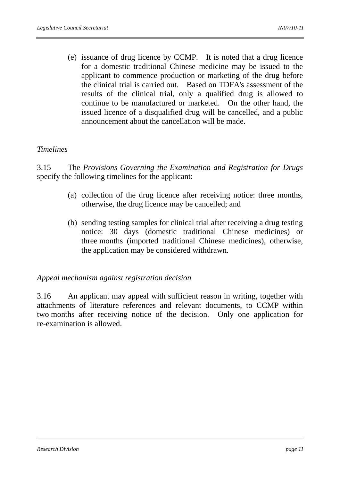(e) issuance of drug licence by CCMP. It is noted that a drug licence for a domestic traditional Chinese medicine may be issued to the applicant to commence production or marketing of the drug before the clinical trial is carried out. Based on TDFA's assessment of the results of the clinical trial, only a qualified drug is allowed to continue to be manufactured or marketed. On the other hand, the issued licence of a disqualified drug will be cancelled, and a public announcement about the cancellation will be made.

#### *Timelines*

3.15 The *Provisions Governing the Examination and Registration for Drugs* specify the following timelines for the applicant:

- (a) collection of the drug licence after receiving notice: three months, otherwise, the drug licence may be cancelled; and
- (b) sending testing samples for clinical trial after receiving a drug testing notice: 30 days (domestic traditional Chinese medicines) or three months (imported traditional Chinese medicines), otherwise, the application may be considered withdrawn.

#### *Appeal mechanism against registration decision*

3.16 An applicant may appeal with sufficient reason in writing, together with attachments of literature references and relevant documents, to CCMP within two months after receiving notice of the decision. Only one application for re-examination is allowed.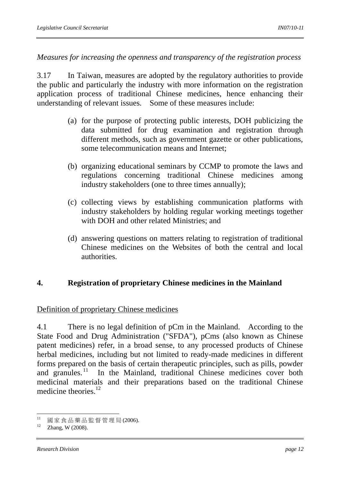*Measures for increasing the openness and transparency of the registration process*

3.17 In Taiwan, measures are adopted by the regulatory authorities to provide the public and particularly the industry with more information on the registration application process of traditional Chinese medicines, hence enhancing their understanding of relevant issues. Some of these measures include:

- (a) for the purpose of protecting public interests, DOH publicizing the data submitted for drug examination and registration through different methods, such as government gazette or other publications, some telecommunication means and Internet;
- (b) organizing educational seminars by CCMP to promote the laws and regulations concerning traditional Chinese medicines among industry stakeholders (one to three times annually);
- (c) collecting views by establishing communication platforms with industry stakeholders by holding regular working meetings together with DOH and other related Ministries; and
- (d) answering questions on matters relating to registration of traditional Chinese medicines on the Websites of both the central and local authorities.

## **4. Registration of proprietary Chinese medicines in the Mainland**

## Definition of proprietary Chinese medicines

4.1 There is no legal definition of pCm in the Mainland. According to the State Food and Drug Administration ("SFDA"), pCms (also known as Chinese patent medicines) refer, in a broad sense, to any processed products of Chinese herbal medicines, including but not limited to ready-made medicines in different forms prepared on the basis of certain therapeutic principles, such as pills, powder and granules.<sup>11</sup> In the Mainland, traditional Chinese medicines cover both medicinal materials and their preparations based on the traditional Chinese medicine theories  $12$ 

 $11$  $11$  國家食品藥品監督管理局 (2006).<br>  $12$  Zhang, W (2008).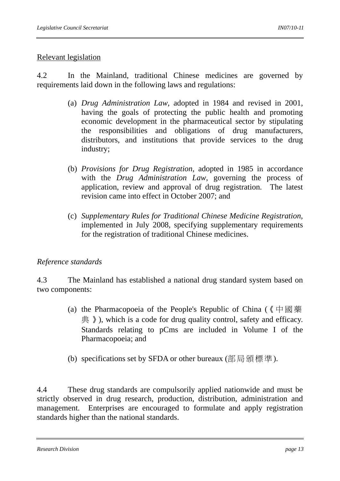### Relevant legislation

4.2 In the Mainland, traditional Chinese medicines are governed by requirements laid down in the following laws and regulations:

- (a) *Drug Administration Law*, adopted in 1984 and revised in 2001, having the goals of protecting the public health and promoting economic development in the pharmaceutical sector by stipulating the responsibilities and obligations of drug manufacturers, distributors, and institutions that provide services to the drug industry;
- (b) *Provisions for Drug Registration*, adopted in 1985 in accordance with the *Drug Administration Law*, governing the process of application, review and approval of drug registration. The latest revision came into effect in October 2007; and
- (c) *Supplementary Rules for Traditional Chinese Medicine Registration*, implemented in July 2008, specifying supplementary requirements for the registration of traditional Chinese medicines.

## *Reference standards*

4.3 The Mainland has established a national drug standard system based on two components:

- (a) the Pharmacopoeia of the People's Republic of China ( $\langle \phi | \Psi | \Psi \rangle$  $\#$   $\mathcal{V}$ ), which is a code for drug quality control, safety and efficacy. Standards relating to pCms are included in Volume I of the Pharmacopoeia; and
- (b) specifications set by SFDA or other bureaux (部局頒標準).

4.4 These drug standards are compulsorily applied nationwide and must be strictly observed in drug research, production, distribution, administration and management. Enterprises are encouraged to formulate and apply registration standards higher than the national standards.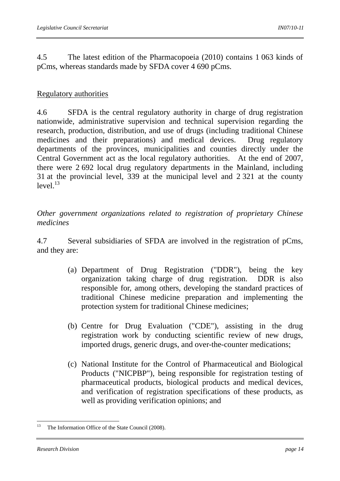4.5 The latest edition of the Pharmacopoeia (2010) contains 1 063 kinds of pCms, whereas standards made by SFDA cover 4 690 pCms.

### Regulatory authorities

4.6 SFDA is the central regulatory authority in charge of drug registration nationwide, administrative supervision and technical supervision regarding the research, production, distribution, and use of drugs (including traditional Chinese medicines and their preparations) and medical devices. Drug regulatory departments of the provinces, municipalities and counties directly under the Central Government act as the local regulatory authorities. At the end of 2007, there were 2 692 local drug regulatory departments in the Mainland, including 31 at the provincial level, 339 at the municipal level and 2 321 at the county  $level<sup>13</sup>$ 

*Other government organizations related to registration of proprietary Chinese medicines* 

4.7 Several subsidiaries of SFDA are involved in the registration of pCms, and they are:

- (a) Department of Drug Registration ("DDR"), being the key organization taking charge of drug registration. DDR is also responsible for, among others, developing the standard practices of traditional Chinese medicine preparation and implementing the protection system for traditional Chinese medicines;
- (b) Centre for Drug Evaluation ("CDE"), assisting in the drug registration work by conducting scientific review of new drugs, imported drugs, generic drugs, and over-the-counter medications;
- (c) National Institute for the Control of Pharmaceutical and Biological Products ("NICPBP"), being responsible for registration testing of pharmaceutical products, biological products and medical devices, and verification of registration specifications of these products, as well as providing verification opinions; and

<sup>13</sup> The Information Office of the State Council (2008).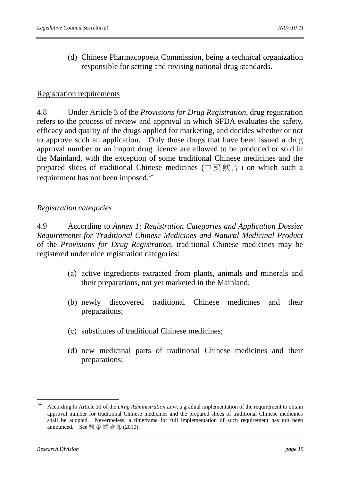(d) Chinese Pharmacopoeia Commission, being a technical organization responsible for setting and revising national drug standards.

#### Registration requirements

4.8 Under Article 3 of the *Provisions for Drug Registration*, drug registration refers to the process of review and approval in which SFDA evaluates the safety, efficacy and quality of the drugs applied for marketing, and decides whether or not to approve such an application. Only those drugs that have been issued a drug approval number or an import drug licence are allowed to be produced or sold in the Mainland, with the exception of some traditional Chinese medicines and the prepared slices of traditional Chinese medicines (中藥飲片) on which such a requirement has not been imposed.<sup>14</sup>

#### *Registration categories*

4.9 According to *Annex 1: Registration Categories and Application Dossier Requirements for Traditional Chinese Medicines and Natural Medicinal Product* of the *Provisions for Drug Registration*, traditional Chinese medicines may be registered under nine registration categories:

- (a) active ingredients extracted from plants, animals and minerals and their preparations, not yet marketed in the Mainland;
- (b) newly discovered traditional Chinese medicines and their preparations;
- (c) substitutes of traditional Chinese medicines;
- (d) new medicinal parts of traditional Chinese medicines and their preparations;

 $14$ <sup>14</sup> According to Article 31 of the *Drug Administration Law*, a gradual implementation of the requirement to obtain approval number for traditional Chinese medicines and the prepared slices of traditional Chinese medicines shall be adopted. Nevertheless, a timeframe for full implementation of such requirement has not been announced. See 醫藥經濟報 (2010).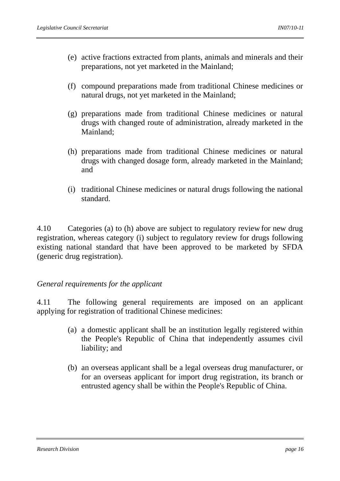- (e) active fractions extracted from plants, animals and minerals and their preparations, not yet marketed in the Mainland;
- (f) compound preparations made from traditional Chinese medicines or natural drugs, not yet marketed in the Mainland;
- (g) preparations made from traditional Chinese medicines or natural drugs with changed route of administration, already marketed in the Mainland;
- (h) preparations made from traditional Chinese medicines or natural drugs with changed dosage form, already marketed in the Mainland; and
- (i) traditional Chinese medicines or natural drugs following the national standard.

4.10 Categories (a) to (h) above are subject to regulatory review for new drug registration, whereas category (i) subject to regulatory review for drugs following existing national standard that have been approved to be marketed by SFDA (generic drug registration).

### *General requirements for the applicant*

4.11 The following general requirements are imposed on an applicant applying for registration of traditional Chinese medicines:

- (a) a domestic applicant shall be an institution legally registered within the People's Republic of China that independently assumes civil liability; and
- (b) an overseas applicant shall be a legal overseas drug manufacturer, or for an overseas applicant for import drug registration, its branch or entrusted agency shall be within the People's Republic of China.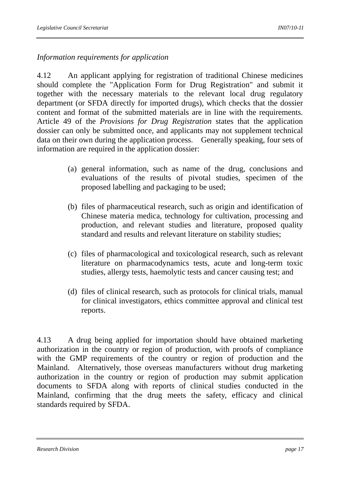*Information requirements for application*

4.12 An applicant applying for registration of traditional Chinese medicines should complete the "Application Form for Drug Registration" and submit it together with the necessary materials to the relevant local drug regulatory department (or SFDA directly for imported drugs), which checks that the dossier content and format of the submitted materials are in line with the requirements. Article 49 of the *Provisions for Drug Registration* states that the application dossier can only be submitted once, and applicants may not supplement technical data on their own during the application process. Generally speaking, four sets of information are required in the application dossier:

- (a) general information, such as name of the drug, conclusions and evaluations of the results of pivotal studies, specimen of the proposed labelling and packaging to be used;
- (b) files of pharmaceutical research, such as origin and identification of Chinese materia medica, technology for cultivation, processing and production, and relevant studies and literature, proposed quality standard and results and relevant literature on stability studies;
- (c) files of pharmacological and toxicological research, such as relevant literature on pharmacodynamics tests, acute and long-term toxic studies, allergy tests, haemolytic tests and cancer causing test; and
- (d) files of clinical research, such as protocols for clinical trials, manual for clinical investigators, ethics committee approval and clinical test reports.

4.13 A drug being applied for importation should have obtained marketing authorization in the country or region of production, with proofs of compliance with the GMP requirements of the country or region of production and the Mainland. Alternatively, those overseas manufacturers without drug marketing authorization in the country or region of production may submit application documents to SFDA along with reports of clinical studies conducted in the Mainland, confirming that the drug meets the safety, efficacy and clinical standards required by SFDA.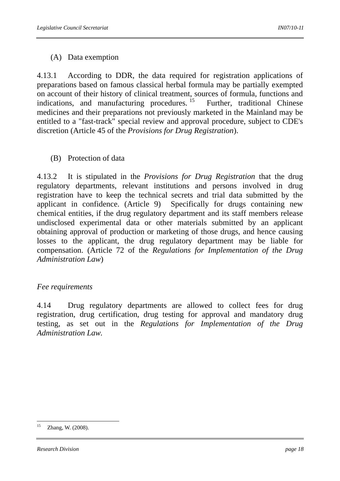### (A) Data exemption

4.13.1 According to DDR, the data required for registration applications of preparations based on famous classical herbal formula may be partially exempted on account of their history of clinical treatment, sources of formula, functions and indications, and manufacturing procedures.<sup>15</sup> Further, traditional Chinese indications, and manufacturing procedures.  $15$ medicines and their preparations not previously marketed in the Mainland may be entitled to a "fast-track" special review and approval procedure, subject to CDE's discretion (Article 45 of the *Provisions for Drug Registration*).

(B) Protection of data

4.13.2 It is stipulated in the *Provisions for Drug Registration* that the drug regulatory departments, relevant institutions and persons involved in drug registration have to keep the technical secrets and trial data submitted by the applicant in confidence. (Article 9) Specifically for drugs containing new chemical entities, if the drug regulatory department and its staff members release undisclosed experimental data or other materials submitted by an applicant obtaining approval of production or marketing of those drugs, and hence causing losses to the applicant, the drug regulatory department may be liable for compensation. (Article 72 of the *Regulations for Implementation of the Drug Administration Law*)

#### *Fee requirements*

4.14 Drug regulatory departments are allowed to collect fees for drug registration, drug certification, drug testing for approval and mandatory drug testing, as set out in the *Regulations for Implementation of the Drug Administration Law.*

 $15$ Zhang, W. (2008).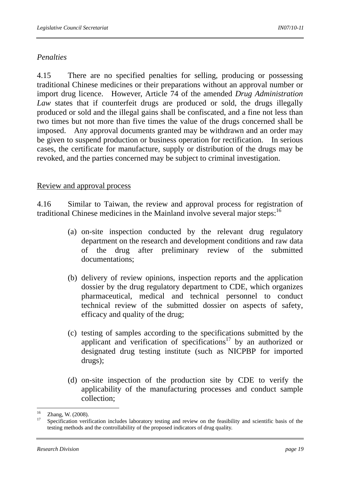### *Penalties*

4.15 There are no specified penalties for selling, producing or possessing traditional Chinese medicines or their preparations without an approval number or import drug licence. However, Article 74 of the amended *Drug Administration Law* states that if counterfeit drugs are produced or sold, the drugs illegally produced or sold and the illegal gains shall be confiscated, and a fine not less than two times but not more than five times the value of the drugs concerned shall be imposed. Any approval documents granted may be withdrawn and an order may be given to suspend production or business operation for rectification. In serious cases, the certificate for manufacture, supply or distribution of the drugs may be revoked, and the parties concerned may be subject to criminal investigation.

### Review and approval process

4.16 Similar to Taiwan, the review and approval process for registration of traditional Chinese medicines in the Mainland involve several major steps:<sup>16</sup>

- (a) on-site inspection conducted by the relevant drug regulatory department on the research and development conditions and raw data of the drug after preliminary review of the submitted documentations;
- (b) delivery of review opinions, inspection reports and the application dossier by the drug regulatory department to CDE, which organizes pharmaceutical, medical and technical personnel to conduct technical review of the submitted dossier on aspects of safety, efficacy and quality of the drug;
- (c) testing of samples according to the specifications submitted by the applicant and verification of specifications<sup>17</sup> by an authorized or designated drug testing institute (such as NICPBP for imported drugs);
- (d) on-site inspection of the production site by CDE to verify the applicability of the manufacturing processes and conduct sample collection;

<sup>16</sup>  $\frac{16}{17}$  Zhang, W. (2008).

Specification verification includes laboratory testing and review on the feasibility and scientific basis of the testing methods and the controllability of the proposed indicators of drug quality.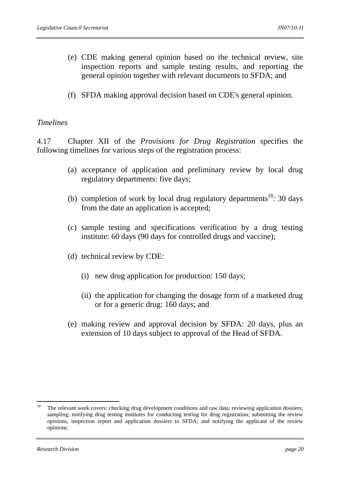- (e) CDE making general opinion based on the technical review, site inspection reports and sample testing results, and reporting the general opinion together with relevant documents to SFDA; and
- (f) SFDA making approval decision based on CDE's general opinion.

#### *Timelines*

4.17 Chapter XII of the *Provisions for Drug Registration* specifies the following timelines for various steps of the registration process:

- (a) acceptance of application and preliminary review by local drug regulatory departments: five days;
- (b) completion of work by local drug regulatory departments<sup>18</sup>: 30 days from the date an application is accepted;
- (c) sample testing and specifications verification by a drug testing institute: 60 days (90 days for controlled drugs and vaccine);
- (d) technical review by CDE:
	- (i) new drug application for production: 150 days;
	- (ii) the application for changing the dosage form of a marketed drug or for a generic drug: 160 days; and
- (e) making review and approval decision by SFDA: 20 days, plus an extension of 10 days subject to approval of the Head of SFDA.

<sup>18</sup> The relevant work covers: checking drug development conditions and raw data; reviewing application dossiers; sampling; notifying drug testing institutes for conducting testing for drug registration; submitting the review opinions, inspection report and application dossiers to SFDA; and notifying the applicant of the review opinions.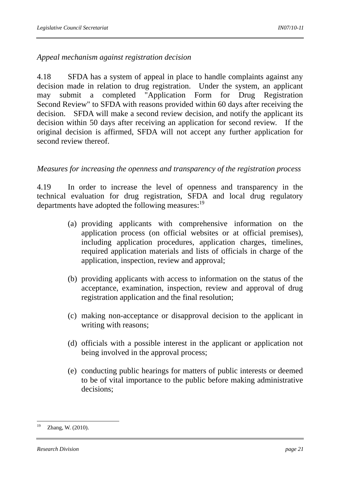*Appeal mechanism against registration decision*

4.18 SFDA has a system of appeal in place to handle complaints against any decision made in relation to drug registration. Under the system, an applicant may submit a completed "Application Form for Drug Registration Second Review" to SFDA with reasons provided within 60 days after receiving the decision. SFDA will make a second review decision, and notify the applicant its decision within 50 days after receiving an application for second review. If the original decision is affirmed, SFDA will not accept any further application for second review thereof.

#### *Measures for increasing the openness and transparency of the registration process*

4.19 In order to increase the level of openness and transparency in the technical evaluation for drug registration, SFDA and local drug regulatory departments have adopted the following measures: $19$ 

- (a) providing applicants with comprehensive information on the application process (on official websites or at official premises), including application procedures, application charges, timelines, required application materials and lists of officials in charge of the application, inspection, review and approval;
- (b) providing applicants with access to information on the status of the acceptance, examination, inspection, review and approval of drug registration application and the final resolution;
- (c) making non-acceptance or disapproval decision to the applicant in writing with reasons;
- (d) officials with a possible interest in the applicant or application not being involved in the approval process;
- (e) conducting public hearings for matters of public interests or deemed to be of vital importance to the public before making administrative decisions;

<sup>19</sup> Zhang, W. (2010).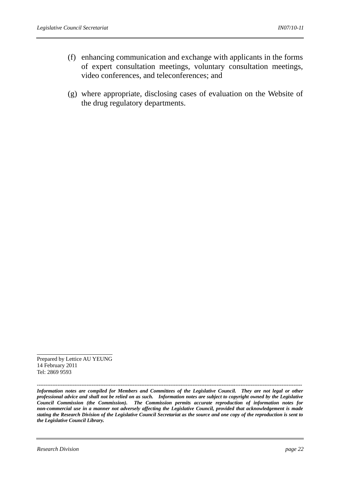- (f) enhancing communication and exchange with applicants in the forms of expert consultation meetings, voluntary consultation meetings, video conferences, and teleconferences; and
- (g) where appropriate, disclosing cases of evaluation on the Website of the drug regulatory departments.

Prepared by Lettice AU YEUNG 14 February 2011 Tel: 2869 9593

*----------------------------------------------------------------------------------------------------------------------------------------------------------- Information notes are compiled for Members and Committees of the Legislative Council. They are not legal or other professional advice and shall not be relied on as such. Information notes are subject to copyright owned by the Legislative Council Commission (the Commission). The Commission permits accurate reproduction of information notes for non-commercial use in a manner not adversely affecting the Legislative Council, provided that acknowledgement is made stating the Research Division of the Legislative Council Secretariat as the source and one copy of the reproduction is sent to the Legislative Council Library.*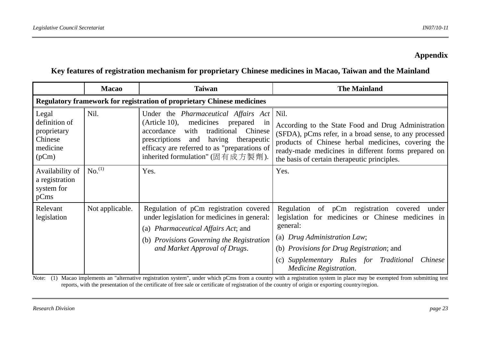## **Appendix**

## **Key features of registration mechanism for proprietary Chinese medicines in Macao, Taiwan and the Mainland**

|                                                                               | <b>Macao</b>       | <b>Taiwan</b>                                                                                                                                                                                                                                                                     | <b>The Mainland</b>                                                                                                                                                                                                                                                           |  |  |  |  |  |
|-------------------------------------------------------------------------------|--------------------|-----------------------------------------------------------------------------------------------------------------------------------------------------------------------------------------------------------------------------------------------------------------------------------|-------------------------------------------------------------------------------------------------------------------------------------------------------------------------------------------------------------------------------------------------------------------------------|--|--|--|--|--|
| <b>Regulatory framework for registration of proprietary Chinese medicines</b> |                    |                                                                                                                                                                                                                                                                                   |                                                                                                                                                                                                                                                                               |  |  |  |  |  |
| Legal<br>definition of<br>proprietary<br>Chinese<br>medicine<br>(pCm)         | Nil.               | Under the <i>Pharmaceutical Affairs Act</i>   Nil.<br>medicines<br>(Article 10),<br>prepared<br>in<br>traditional Chinese<br>with<br>accordance<br>prescriptions<br>having therapeutic<br>and<br>efficacy are referred to as "preparations of<br>inherited formulation" (固有成方製劑). | According to the State Food and Drug Administration<br>(SFDA), pCms refer, in a broad sense, to any processed<br>products of Chinese herbal medicines, covering the<br>ready-made medicines in different forms prepared on<br>the basis of certain therapeutic principles.    |  |  |  |  |  |
| Availability of<br>a registration<br>system for<br>pCms                       | No. <sup>(1)</sup> | Yes.                                                                                                                                                                                                                                                                              | Yes.                                                                                                                                                                                                                                                                          |  |  |  |  |  |
| Relevant<br>legislation                                                       | Not applicable.    | Regulation of pCm registration covered<br>under legislation for medicines in general:<br>(a) <i>Pharmaceutical Affairs Act</i> ; and<br>(b) Provisions Governing the Registration<br>and Market Approval of Drugs.                                                                | Regulation of pCm registration covered under<br>legislation for medicines or Chinese medicines in<br>general:<br>(a) Drug Administration Law;<br>(b) Provisions for Drug Registration; and<br>Supplementary Rules for Traditional<br>Chinese<br>(c)<br>Medicine Registration. |  |  |  |  |  |

Note: (1) Macao implements an "alternative registration system", under which pCms from a country with a registration system in place may be exempted from submitting test reports, with the presentation of the certificate of free sale or certificate of registration of the country of origin or exporting country/region.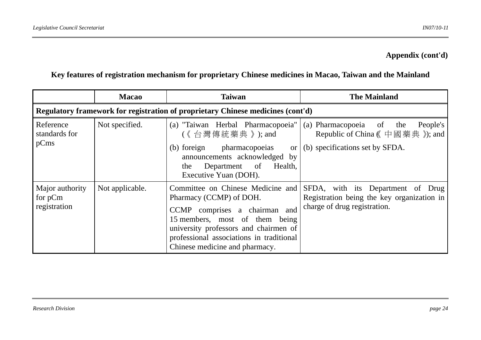## **Appendix (cont'd)**

# **Key features of registration mechanism for proprietary Chinese medicines in Macao, Taiwan and the Mainland**

|                                                                                 | <b>Macao</b>    | <b>Taiwan</b>                                                                                                                                                                                                                                                                                                                                                                                                                                                                                                                                                                                                                                                                                                                      | <b>The Mainland</b>                                                                                                                         |  |  |  |
|---------------------------------------------------------------------------------|-----------------|------------------------------------------------------------------------------------------------------------------------------------------------------------------------------------------------------------------------------------------------------------------------------------------------------------------------------------------------------------------------------------------------------------------------------------------------------------------------------------------------------------------------------------------------------------------------------------------------------------------------------------------------------------------------------------------------------------------------------------|---------------------------------------------------------------------------------------------------------------------------------------------|--|--|--|
| Regulatory framework for registration of proprietary Chinese medicines (cont'd) |                 |                                                                                                                                                                                                                                                                                                                                                                                                                                                                                                                                                                                                                                                                                                                                    |                                                                                                                                             |  |  |  |
| Reference<br>standards for<br>pCms                                              | Not specified.  | (a) "Taiwan Herbal Pharmacopoeia"<br>$(\langle \frac{\overline{A}}{\overline{B}}   \frac{\overline{B}}{\overline{C}}   \frac{\overline{C}}{\overline{C}}   \frac{\overline{C}}{\overline{C}}   \frac{\overline{C}}{\overline{C}}   \frac{\overline{C}}{\overline{C}}   \frac{\overline{C}}{\overline{C}}   \frac{\overline{C}}{\overline{C}}   \frac{\overline{C}}{\overline{C}}   \frac{\overline{C}}{\overline{C}}   \frac{\overline{C}}{\overline{C}}   \frac{\overline{C}}{\overline{C}}   \frac{\overline{C}}{\overline{C}}   \frac{\overline{C}}{\overline{C}}   \frac{\overline{C$<br>(b) foreign pharmacopoeias<br><sub>or</sub><br>announcements acknowledged by<br>Department of Health,<br>the<br>Executive Yuan (DOH). | (a) Pharmacopoeia of the<br>People's<br>Republic of China ( $\uparrow \Box \Box \cong \mathbb{R}$ ); and<br>(b) specifications set by SFDA. |  |  |  |
| Major authority<br>for $pCm$<br>registration                                    | Not applicable. | Committee on Chinese Medicine and<br>Pharmacy (CCMP) of DOH.<br>CCMP comprises a chairman and<br>15 members, most of them being<br>university professors and chairmen of<br>professional associations in traditional<br>Chinese medicine and pharmacy.                                                                                                                                                                                                                                                                                                                                                                                                                                                                             | SFDA, with its Department of Drug<br>Registration being the key organization in<br>charge of drug registration.                             |  |  |  |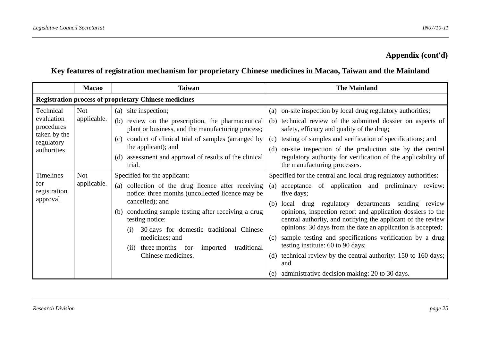## **Appendix (cont'd)**

**Key features of registration mechanism for proprietary Chinese medicines in Macao, Taiwan and the Mainland** 

|                                                                                    | <b>Macao</b>                                           | <b>Taiwan</b>                                                                                                                                                                                                                                                                                                                                                                                | <b>The Mainland</b>                                                                                                                                                                                                                                                                                                                                                                                                                                                                                                                                                                                                                               |  |  |  |  |
|------------------------------------------------------------------------------------|--------------------------------------------------------|----------------------------------------------------------------------------------------------------------------------------------------------------------------------------------------------------------------------------------------------------------------------------------------------------------------------------------------------------------------------------------------------|---------------------------------------------------------------------------------------------------------------------------------------------------------------------------------------------------------------------------------------------------------------------------------------------------------------------------------------------------------------------------------------------------------------------------------------------------------------------------------------------------------------------------------------------------------------------------------------------------------------------------------------------------|--|--|--|--|
| <b>Registration process of proprietary Chinese medicines</b>                       |                                                        |                                                                                                                                                                                                                                                                                                                                                                                              |                                                                                                                                                                                                                                                                                                                                                                                                                                                                                                                                                                                                                                                   |  |  |  |  |
| Technical<br>evaluation<br>procedures<br>taken by the<br>regulatory<br>authorities | <b>Not</b><br>applicable.<br><b>Not</b><br>applicable. | (a) site inspection;<br>(b) review on the prescription, the pharmaceutical<br>plant or business, and the manufacturing process;<br>conduct of clinical trial of samples (arranged by<br>(c)<br>the applicant); and<br>assessment and approval of results of the clinical<br>(d)                                                                                                              | on-site inspection by local drug regulatory authorities;<br>(a)<br>technical review of the submitted dossier on aspects of<br>(b)<br>safety, efficacy and quality of the drug;<br>testing of samples and verification of specifications; and<br>(c)<br>on-site inspection of the production site by the central<br>(d)<br>regulatory authority for verification of the applicability of                                                                                                                                                                                                                                                           |  |  |  |  |
|                                                                                    |                                                        | trial.                                                                                                                                                                                                                                                                                                                                                                                       | the manufacturing processes.                                                                                                                                                                                                                                                                                                                                                                                                                                                                                                                                                                                                                      |  |  |  |  |
| <b>Timelines</b><br>for<br>registration<br>approval                                |                                                        | Specified for the applicant:<br>collection of the drug licence after receiving<br>(a)<br>notice: three months (uncollected licence may be<br>cancelled); and<br>conducting sample testing after receiving a drug<br>(b)<br>testing notice:<br>30 days for domestic traditional Chinese<br>(i)<br>medicines; and<br>traditional<br>three months for<br>imported<br>(ii)<br>Chinese medicines. | Specified for the central and local drug regulatory authorities:<br>acceptance of application and preliminary review:<br>(a)<br>five days;<br>local drug regulatory departments sending review<br>(b)<br>opinions, inspection report and application dossiers to the<br>central authority, and notifying the applicant of the review<br>opinions: 30 days from the date an application is accepted;<br>sample testing and specifications verification by a drug<br>(c)<br>testing institute: 60 to 90 days;<br>technical review by the central authority: 150 to 160 days;<br>(d)<br>and<br>administrative decision making: 20 to 30 days.<br>(e) |  |  |  |  |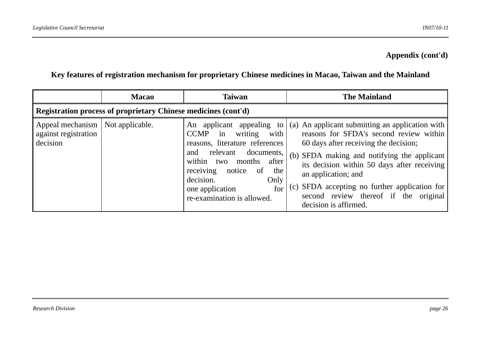## **Appendix (cont'd)**

# **Key features of registration mechanism for proprietary Chinese medicines in Macao, Taiwan and the Mainland**

|                                                                | <b>Macao</b>    | Taiwan                                                                                                                                                                                                                                                                           | <b>The Mainland</b>                                                                                                                                                                                                                                                                                                                                                         |  |  |  |  |
|----------------------------------------------------------------|-----------------|----------------------------------------------------------------------------------------------------------------------------------------------------------------------------------------------------------------------------------------------------------------------------------|-----------------------------------------------------------------------------------------------------------------------------------------------------------------------------------------------------------------------------------------------------------------------------------------------------------------------------------------------------------------------------|--|--|--|--|
| Registration process of proprietary Chinese medicines (cont'd) |                 |                                                                                                                                                                                                                                                                                  |                                                                                                                                                                                                                                                                                                                                                                             |  |  |  |  |
| Appeal mechanism<br>against registration<br>decision           | Not applicable. | An applicant appealing to<br>with<br><b>CCMP</b><br>in writing<br>reasons, literature references<br>documents,<br>relevant<br>and<br>within<br>after<br>two months<br>receiving notice<br>of<br>the<br>decision.<br>Only<br>for<br>one application<br>re-examination is allowed. | (a) An applicant submitting an application with<br>reasons for SFDA's second review within<br>60 days after receiving the decision;<br>(b) SFDA making and notifying the applicant<br>its decision within 50 days after receiving<br>an application; and<br>(c) SFDA accepting no further application for<br>second review thereof if the original<br>decision is affirmed. |  |  |  |  |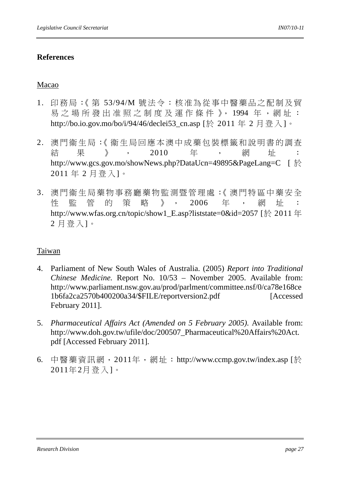## **References**

### Macao

- 1. 印務局:《第 53/94/M 號法令:核准為從事中醫藥品之配制及貿 易之場所發出准照之制度及運作條件》, 1994年,網址: http://bo.io.gov.mo/bo/i/94/46/declei53\_cn.asp [於 2011 年 2 月登入]。
- 2. 澳門衛生局:《 衛生局回應本澳中成藥包裝標籤和說明書的調查 結 果 》 , 2010 年 , 網 址 : http://www.gcs.gov.mo/showNews.php?DataUcn=49895&PageLang=C [於 2011 年 2 月登入]。
- 3. 澳門衞生局藥物事務廳藥物監測暨管理處:《澳門特區中藥安全 性 監 管 的 策 略 》, 2006 年 , 網 址 : http://www.wfas.org.cn/topic/show1\_E.asp?liststate=0&id=2057 [於 2011年 2 月登入]。

#### Taiwan

- 4. Parliament of New South Wales of Australia. (2005) *Report into Traditional Chinese Medicine.* Report No. 10/53 – November 2005. Available from: http://www.parliament.nsw.gov.au/prod/parlment/committee.nsf/0/ca78e168ce 1b6fa2ca2570b400200a34/\$FILE/reportversion2.pdf [Accessed February 2011].
- 5. *Pharmaceutical Affairs Act (Amended on 5 February 2005).* Available from: http://www.doh.gov.tw/ufile/doc/200507\_Pharmaceutical%20Affairs%20Act. pdf [Accessed February 2011].
- 6. 中醫藥資訊網,2011年,網址:http://www.ccmp.gov.tw/index.asp [於 2011年2月登入]。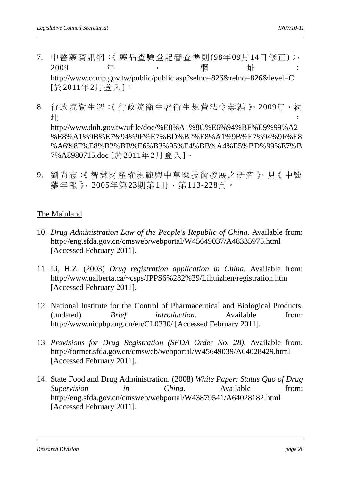- 7. 中醫藥資訊網:《藥品查驗登記審查準則(98年09月14日修正)》, 2009 年 , 網 址 : http://www.ccmp.gov.tw/public/public.asp?selno=826&relno=826&level=C [於2011年2月登入]。
- 8. 行政院生署:《行政院生署衛生規費法令彙編》,2009年,網  $\hbox{4}$  in the contract of the contract of the contract of the contract of the contract of the contract of the contract of the contract of the contract of the contract of the contract of the contract of the contract of http://www.doh.gov.tw/ufile/doc/%E8%A1%8C%E6%94%BF%E9%99%A2 %E8%A1%9B%E7%94%9F%E7%BD%B2%E8%A1%9B%E7%94%9F%E8 %A6%8F%E8%B2%BB%E6%B3%95%E4%BB%A4%E5%BD%99%E7%B 7%A8980715.doc [於2011年2月登入]。
- 9. 劉尚志:《智慧財產權規範與中草藥技術發展之研究》,見《中醫 藥年報》,2005年第23期第1冊,第113-228頁。

### The Mainland

- 10. *Drug Administration Law of the People's Republic of China.* Available from: http://eng.sfda.gov.cn/cmsweb/webportal/W45649037/A48335975.html [Accessed February 2011].
- 11. Li, H.Z. (2003) *Drug registration application in China.* Available from: http://www.ualberta.ca/~csps/JPPS6%282%29/Lihuizhen/registration.htm [Accessed February 2011].
- 12. National Institute for the Control of Pharmaceutical and Biological Products. (undated) *Brief introduction.* Available from: http://www.nicpbp.org.cn/en/CL0330/ [Accessed February 2011].
- 13. *Provisions for Drug Registration (SFDA Order No. 28).* Available from: http://former.sfda.gov.cn/cmsweb/webportal/W45649039/A64028429.html [Accessed February 2011].
- 14. State Food and Drug Administration. (2008) *White Paper: Status Quo of Drug Supervision in China*. Available from: http://eng.sfda.gov.cn/cmsweb/webportal/W43879541/A64028182.html [Accessed February 2011].